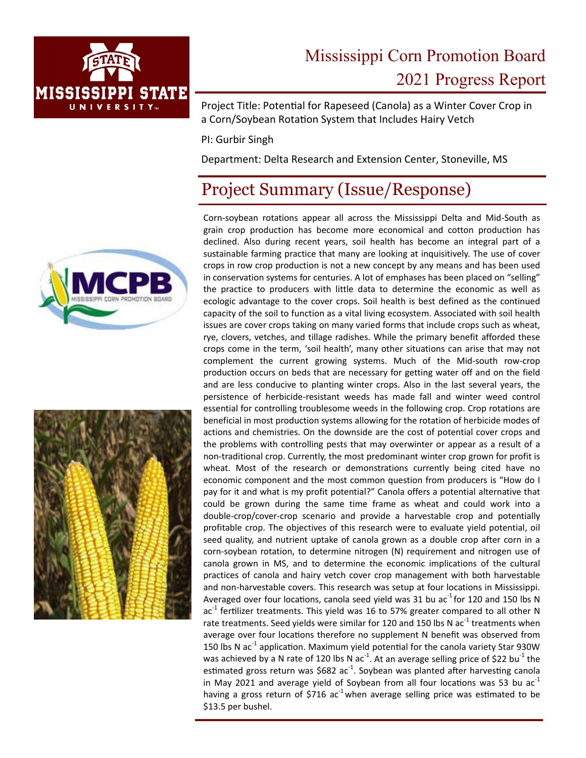

# Mississippi Corn Promotion Board 2021 Progress Report

Project Title: Potential for Rapeseed (Canola) as a Winter Cover Crop in a Corn/Soybean Rotation System that Includes Hairy Vetch

PI: Gurbir Singh

Department: Delta Research and Extension Center, Stoneville, MS

## Project Summary (Issue/Response)





Corn‐soybean rotations appear all across the Mississippi Delta and Mid‐South as grain crop production has become more economical and cotton production has declined. Also during recent years, soil health has become an integral part of a sustainable farming practice that many are looking at inquisitively. The use of cover crops in row crop production is not a new concept by any means and has been used in conservation systems for centuries. A lot of emphases has been placed on "selling" the practice to producers with little data to determine the economic as well as ecologic advantage to the cover crops. Soil health is best defined as the continued capacity of the soil to function as a vital living ecosystem. Associated with soil health issues are cover crops taking on many varied forms that include crops such as wheat, rye, clovers, vetches, and tillage radishes. While the primary benefit afforded these crops come in the term, 'soil health', many other situations can arise that may not complement the current growing systems. Much of the Mid‐south row‐crop production occurs on beds that are necessary for getting water off and on the field and are less conducive to planting winter crops. Also in the last several years, the persistence of herbicide‐resistant weeds has made fall and winter weed control essential for controlling troublesome weeds in the following crop. Crop rotations are beneficial in most production systems allowing for the rotation of herbicide modes of actions and chemistries. On the downside are the cost of potential cover crops and the problems with controlling pests that may overwinter or appear as a result of a non‐traditional crop. Currently, the most predominant winter crop grown for profit is wheat. Most of the research or demonstrations currently being cited have no economic component and the most common question from producers is "How do I pay for it and what is my profit potential?" Canola offers a potential alternative that could be grown during the same time frame as wheat and could work into a double‐crop/cover‐crop scenario and provide a harvestable crop and potentially profitable crop. The objectives of this research were to evaluate yield potential, oil seed quality, and nutrient uptake of canola grown as a double crop after corn in a corn‐soybean rotation, to determine nitrogen (N) requirement and nitrogen use of canola grown in MS, and to determine the economic implications of the cultural practices of canola and hairy vetch cover crop management with both harvestable and non‐harvestable covers. This research was setup at four locations in Mississippi. Averaged over four locations, canola seed yield was 31 bu ac $^{-1}$  for 120 and 150 lbs N ac<sup>-1</sup> fertilizer treatments. This yield was 16 to 57% greater compared to all other N rate treatments. Seed yields were similar for 120 and 150 lbs N ac<sup>-1</sup> treatments when average over four locations therefore no supplement N benefit was observed from 150 lbs N ac<sup>-1</sup> application. Maximum yield potential for the canola variety Star 930W was achieved by a N rate of 120 lbs N ac<sup>-1</sup>. At an average selling price of \$22 bu<sup>-1</sup> the estimated gross return was \$682 ac<sup>-1</sup>. Soybean was planted after harvesting canola in May 2021 and average yield of Soybean from all four locations was 53 bu  $ac<sup>-1</sup>$ having a gross return of \$716 ac<sup>-1</sup> when average selling price was estimated to be \$13.5 per bushel.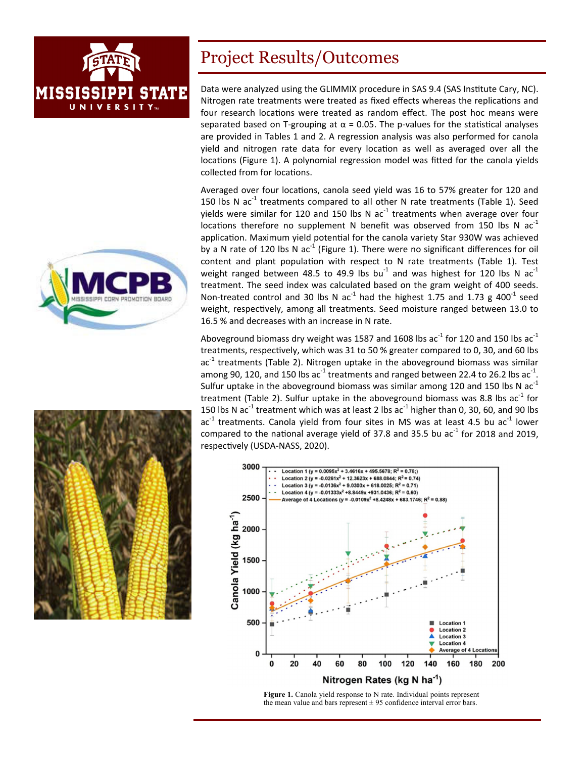





#### Project Results/Outcomes

Data were analyzed using the GLIMMIX procedure in SAS 9.4 (SAS Institute Cary, NC). Nitrogen rate treatments were treated as fixed effects whereas the replications and four research locations were treated as random effect. The post hoc means were separated based on T-grouping at  $\alpha$  = 0.05. The p-values for the statistical analyses are provided in Tables 1 and 2. A regression analysis was also performed for canola yield and nitrogen rate data for every location as well as averaged over all the locations (Figure 1). A polynomial regression model was fitted for the canola yields collected from for locations.

Averaged over four locations, canola seed yield was 16 to 57% greater for 120 and 150 lbs N  $ac^{-1}$  treatments compared to all other N rate treatments (Table 1). Seed yields were similar for 120 and 150 lbs N ac<sup>-1</sup> treatments when average over four locations therefore no supplement N benefit was observed from 150 lbs N ac<sup>-1</sup> application. Maximum yield potential for the canola variety Star 930W was achieved by a N rate of 120 lbs N ac<sup>-1</sup> (Figure 1). There were no significant differences for oil content and plant population with respect to N rate treatments (Table 1). Test weight ranged between 48.5 to 49.9 lbs bu<sup>-1</sup> and was highest for 120 lbs N ac<sup>-1</sup> treatment. The seed index was calculated based on the gram weight of 400 seeds. Non-treated control and 30 lbs N  $ac^{-1}$  had the highest 1.75 and 1.73 g 400<sup>-1</sup> seed weight, respectively, among all treatments. Seed moisture ranged between 13.0 to 16.5 % and decreases with an increase in N rate.

Aboveground biomass dry weight was 1587 and 1608 lbs ac<sup>-1</sup> for 120 and 150 lbs ac<sup>-1</sup> treatments, respectively, which was 31 to 50 % greater compared to 0, 30, and 60 lbs ac<sup>-1</sup> treatments (Table 2). Nitrogen uptake in the aboveground biomass was similar among 90, 120, and 150 lbs ac<sup>-1</sup> treatments and ranged between 22.4 to 26.2 lbs ac<sup>-1</sup>. Sulfur uptake in the aboveground biomass was similar among 120 and 150 lbs N  $ac^{-1}$ treatment (Table 2). Sulfur uptake in the aboveground biomass was 8.8 lbs ac<sup>-1</sup> for 150 lbs N ac<sup>-1</sup> treatment which was at least 2 lbs ac<sup>-1</sup> higher than 0, 30, 60, and 90 lbs ac $^{-1}$  treatments. Canola yield from four sites in MS was at least 4.5 bu ac $^{-1}$  lower compared to the national average yield of 37.8 and 35.5 bu ac<sup>-1</sup> for 2018 and 2019, respectively (USDA-NASS, 2020).



Figure 1. Canola yield response to N rate. Individual points represent the mean value and bars represent  $\pm$  95 confidence interval error bars.